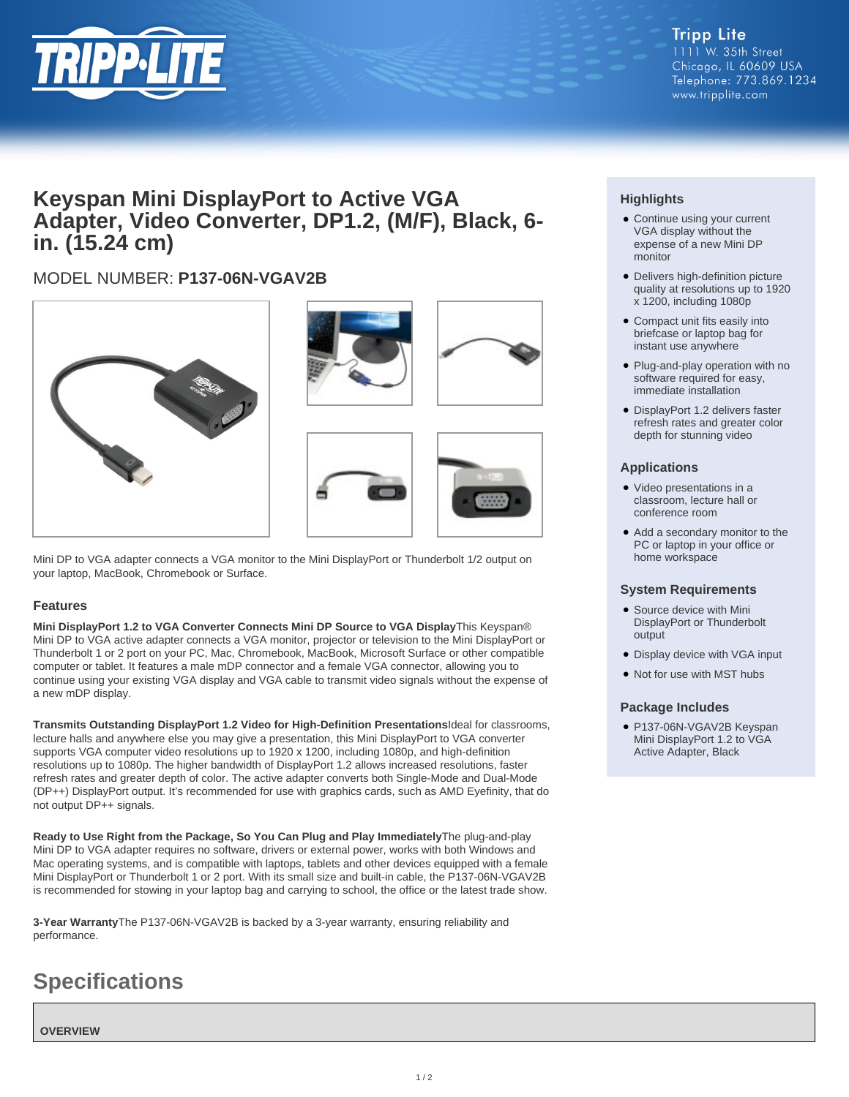

# **Keyspan Mini DisplayPort to Active VGA Adapter, Video Converter, DP1.2, (M/F), Black, 6 in. (15.24 cm)**

# MODEL NUMBER: **P137-06N-VGAV2B**







Mini DP to VGA adapter connects a VGA monitor to the Mini DisplayPort or Thunderbolt 1/2 output on your laptop, MacBook, Chromebook or Surface.

## **Features**

**Mini DisplayPort 1.2 to VGA Converter Connects Mini DP Source to VGA Display**This Keyspan® Mini DP to VGA active adapter connects a VGA monitor, projector or television to the Mini DisplayPort or Thunderbolt 1 or 2 port on your PC, Mac, Chromebook, MacBook, Microsoft Surface or other compatible computer or tablet. It features a male mDP connector and a female VGA connector, allowing you to continue using your existing VGA display and VGA cable to transmit video signals without the expense of a new mDP display.

**Transmits Outstanding DisplayPort 1.2 Video for High-Definition Presentations**Ideal for classrooms, lecture halls and anywhere else you may give a presentation, this Mini DisplayPort to VGA converter supports VGA computer video resolutions up to 1920 x 1200, including 1080p, and high-definition resolutions up to 1080p. The higher bandwidth of DisplayPort 1.2 allows increased resolutions, faster refresh rates and greater depth of color. The active adapter converts both Single-Mode and Dual-Mode (DP++) DisplayPort output. It's recommended for use with graphics cards, such as AMD Eyefinity, that do not output DP++ signals.

**Ready to Use Right from the Package, So You Can Plug and Play Immediately**The plug-and-play Mini DP to VGA adapter requires no software, drivers or external power, works with both Windows and Mac operating systems, and is compatible with laptops, tablets and other devices equipped with a female Mini DisplayPort or Thunderbolt 1 or 2 port. With its small size and built-in cable, the P137-06N-VGAV2B is recommended for stowing in your laptop bag and carrying to school, the office or the latest trade show.

**3-Year Warranty**The P137-06N-VGAV2B is backed by a 3-year warranty, ensuring reliability and performance.

# **Specifications**

**OVERVIEW**

# **Highlights**

- Continue using your current VGA display without the expense of a new Mini DP monitor
- Delivers high-definition picture quality at resolutions up to 1920 x 1200, including 1080p
- Compact unit fits easily into briefcase or laptop bag for instant use anywhere
- Plug-and-play operation with no software required for easy, immediate installation
- DisplayPort 1.2 delivers faster refresh rates and greater color depth for stunning video

#### **Applications**

- Video presentations in a classroom, lecture hall or conference room
- Add a secondary monitor to the PC or laptop in your office or home workspace

#### **System Requirements**

- Source device with Mini DisplayPort or Thunderbolt output
- Display device with VGA input
- Not for use with MST hubs

## **Package Includes**

● P137-06N-VGAV2B Keyspan Mini DisplayPort 1.2 to VGA Active Adapter, Black